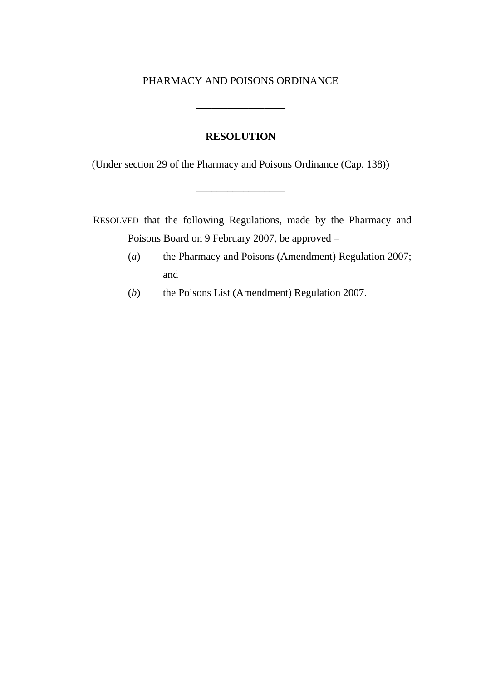#### PHARMACY AND POISONS ORDINANCE

\_\_\_\_\_\_\_\_\_\_\_\_\_\_\_\_\_

### **RESOLUTION**

(Under section 29 of the Pharmacy and Poisons Ordinance (Cap. 138))

\_\_\_\_\_\_\_\_\_\_\_\_\_\_\_\_\_

RESOLVED that the following Regulations, made by the Pharmacy and Poisons Board on 9 February 2007, be approved –

- (*a*) the Pharmacy and Poisons (Amendment) Regulation 2007; and
- (*b*) the Poisons List (Amendment) Regulation 2007.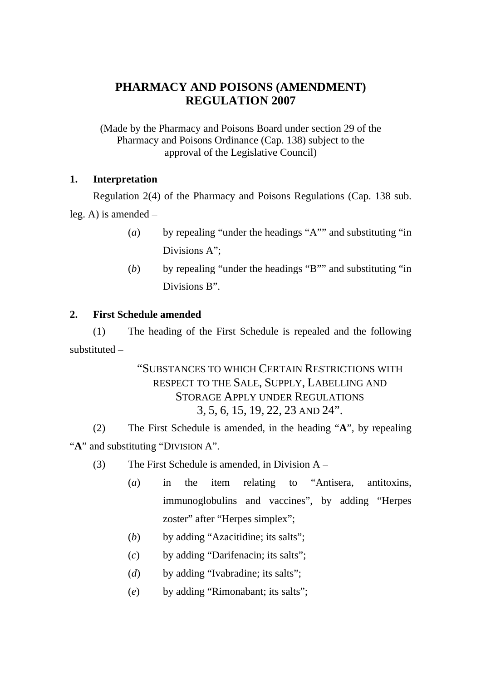# **PHARMACY AND POISONS (AMENDMENT) REGULATION 2007**

(Made by the Pharmacy and Poisons Board under section 29 of the Pharmacy and Poisons Ordinance (Cap. 138) subject to the approval of the Legislative Council)

### **1. Interpretation**

Regulation 2(4) of the Pharmacy and Poisons Regulations (Cap. 138 sub. leg. A) is amended –

- (*a*) by repealing "under the headings "A"" and substituting "in Divisions A":
- (*b*) by repealing "under the headings "B"" and substituting "in Divisions B".

### **2. First Schedule amended**

(1) The heading of the First Schedule is repealed and the following substituted –

> "SUBSTANCES TO WHICH CERTAIN RESTRICTIONS WITH RESPECT TO THE SALE, SUPPLY, LABELLING AND STORAGE APPLY UNDER REGULATIONS 3, 5, 6, 15, 19, 22, 23 AND 24".

(2) The First Schedule is amended, in the heading "**A**", by repealing "A" and substituting "DIVISION A".

- (3) The First Schedule is amended, in Division A
	- (*a*) in the item relating to "Antisera, antitoxins, immunoglobulins and vaccines", by adding "Herpes zoster" after "Herpes simplex";
	- (*b*) by adding "Azacitidine; its salts";
	- (*c*) by adding "Darifenacin; its salts";
	- (*d*) by adding "Ivabradine; its salts";
	- (*e*) by adding "Rimonabant; its salts";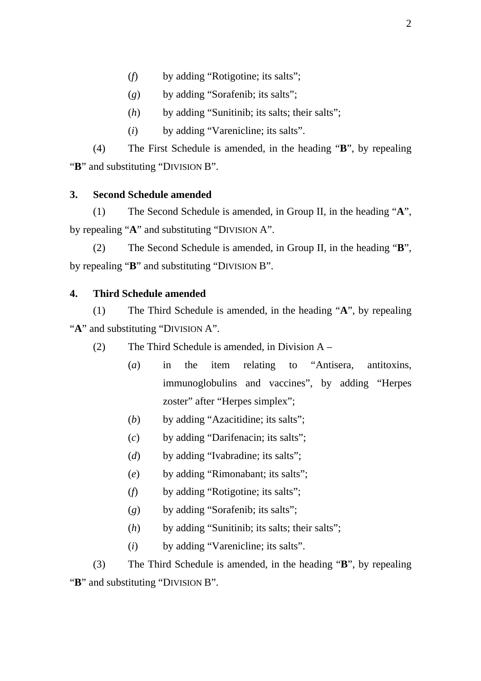- (*f*) by adding "Rotigotine; its salts";
- (*g*) by adding "Sorafenib; its salts";
- (*h*) by adding "Sunitinib; its salts; their salts";
- (*i*) by adding "Varenicline; its salts".

(4) The First Schedule is amended, in the heading "**B**", by repealing "**B**" and substituting "DIVISION B".

#### **3. Second Schedule amended**

(1) The Second Schedule is amended, in Group II, in the heading "**A**", by repealing "**A**" and substituting "DIVISION A".

(2) The Second Schedule is amended, in Group II, in the heading "**B**", by repealing "**B**" and substituting "DIVISION B".

### **4. Third Schedule amended**

(1) The Third Schedule is amended, in the heading "**A**", by repealing "A" and substituting "DIVISION A".

- (2) The Third Schedule is amended, in Division A
	- (*a*) in the item relating to "Antisera, antitoxins, immunoglobulins and vaccines", by adding "Herpes zoster" after "Herpes simplex";
	- (*b*) by adding "Azacitidine; its salts";
	- (*c*) by adding "Darifenacin; its salts";
	- (*d*) by adding "Ivabradine; its salts";
	- (*e*) by adding "Rimonabant; its salts";
	- (*f*) by adding "Rotigotine; its salts";
	- (*g*) by adding "Sorafenib; its salts";
	- (*h*) by adding "Sunitinib; its salts; their salts";
	- (*i*) by adding "Varenicline; its salts".

(3) The Third Schedule is amended, in the heading "**B**", by repealing "**B**" and substituting "DIVISION B".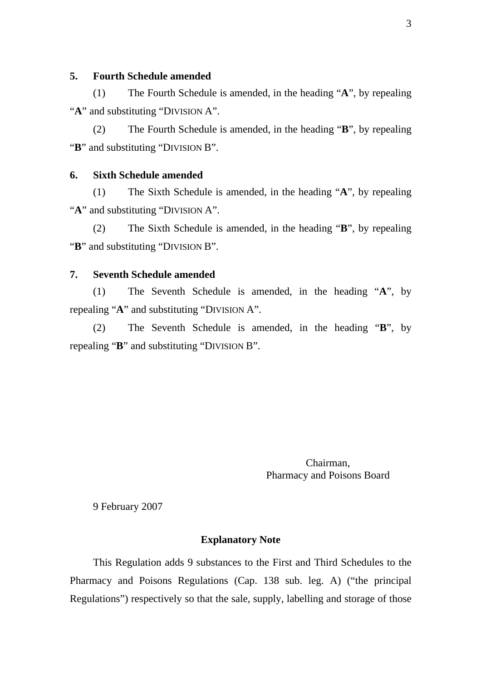#### **5. Fourth Schedule amended**

(1) The Fourth Schedule is amended, in the heading "**A**", by repealing "**A**" and substituting "DIVISION A".

(2) The Fourth Schedule is amended, in the heading "**B**", by repealing "**B**" and substituting "DIVISION B".

#### **6. Sixth Schedule amended**

(1) The Sixth Schedule is amended, in the heading "**A**", by repealing "A" and substituting "DIVISION A".

(2) The Sixth Schedule is amended, in the heading "**B**", by repealing "**B**" and substituting "DIVISION B".

#### **7. Seventh Schedule amended**

(1) The Seventh Schedule is amended, in the heading "**A**", by repealing "**A**" and substituting "DIVISION A".

(2) The Seventh Schedule is amended, in the heading "**B**", by repealing "**B**" and substituting "DIVISION B".

> Chairman, Pharmacy and Poisons Board

9 February 2007

#### **Explanatory Note**

This Regulation adds 9 substances to the First and Third Schedules to the Pharmacy and Poisons Regulations (Cap. 138 sub. leg. A) ("the principal Regulations") respectively so that the sale, supply, labelling and storage of those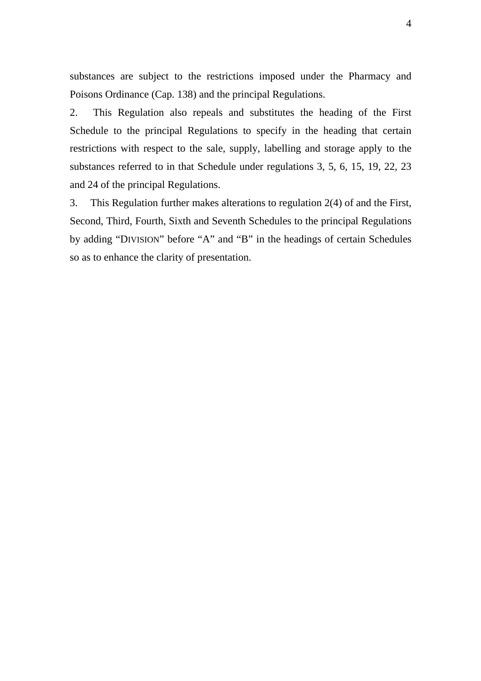substances are subject to the restrictions imposed under the Pharmacy and Poisons Ordinance (Cap. 138) and the principal Regulations.

2. This Regulation also repeals and substitutes the heading of the First Schedule to the principal Regulations to specify in the heading that certain restrictions with respect to the sale, supply, labelling and storage apply to the substances referred to in that Schedule under regulations 3, 5, 6, 15, 19, 22, 23 and 24 of the principal Regulations.

3. This Regulation further makes alterations to regulation 2(4) of and the First, Second, Third, Fourth, Sixth and Seventh Schedules to the principal Regulations by adding "DIVISION" before "A" and "B" in the headings of certain Schedules so as to enhance the clarity of presentation.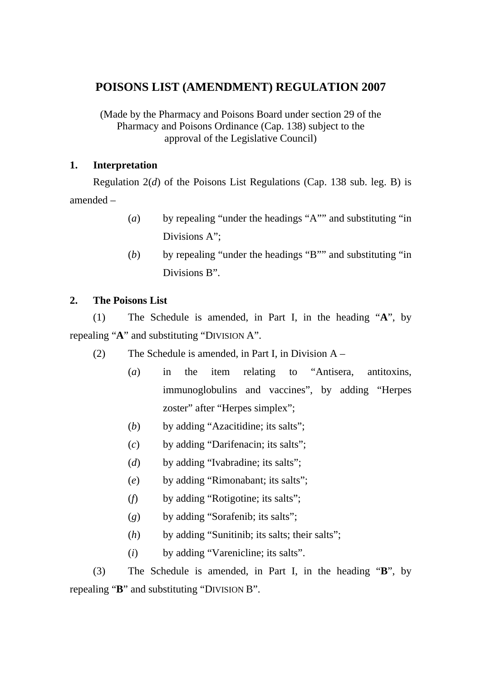## **POISONS LIST (AMENDMENT) REGULATION 2007**

(Made by the Pharmacy and Poisons Board under section 29 of the Pharmacy and Poisons Ordinance (Cap. 138) subject to the approval of the Legislative Council)

#### **1. Interpretation**

Regulation 2(*d*) of the Poisons List Regulations (Cap. 138 sub. leg. B) is amended –

- (*a*) by repealing "under the headings "A"" and substituting "in Divisions A":
- (*b*) by repealing "under the headings "B"" and substituting "in Divisions B".

### **2. The Poisons List**

(1) The Schedule is amended, in Part I, in the heading "**A**", by repealing "**A**" and substituting "DIVISION A".

- (2) The Schedule is amended, in Part I, in Division  $A -$ 
	- (*a*) in the item relating to "Antisera, antitoxins, immunoglobulins and vaccines", by adding "Herpes zoster" after "Herpes simplex";
	- (*b*) by adding "Azacitidine; its salts";
	- (*c*) by adding "Darifenacin; its salts";
	- (*d*) by adding "Ivabradine; its salts";
	- (*e*) by adding "Rimonabant; its salts";
	- (*f*) by adding "Rotigotine; its salts";
	- (*g*) by adding "Sorafenib; its salts";
	- (*h*) by adding "Sunitinib; its salts; their salts";
	- (*i*) by adding "Varenicline; its salts".

(3) The Schedule is amended, in Part I, in the heading "**B**", by repealing "**B**" and substituting "DIVISION B".